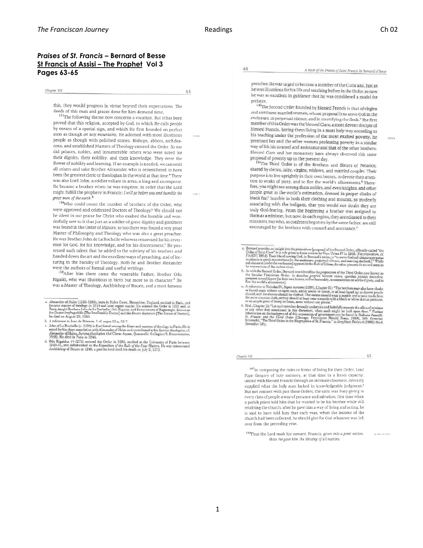**TRIVES** 

### Praises of St. Francis - Bernard of Besse St Francis of Assisi - The Prophet Vol 3 Pages 63-65

63

Ps 86:1

this, they would progress in virtue beyond their expectations. The deeds of this man and graces done for him demand time.

131The following theme now concerns a vocation. But it has been proved that this religion, accepted by God, to which He calls people by means of a special sign, and which He first founded on perfect men as though on holy mountains, He adorned with most illustrious people as though with polished stones. Bishops, abbots, archdeacons, and established Masters of Theology entered the Order. So too did princes, nobles, and innumerable others who were noted for their dignity, their nobility, and their knowledge. They were the flower of nobility and learning. If an example is needed, we can omit all others and take Brother Alexander who is remembered to have been the greatest cleric or theologian in the world at that time.<sup>8</sup> There was also Lord John, a soldier valiant in arms, a king and an emperor. He became a brother when he was emperor, in order that the Lord might fulfill the prophesy in Francis: I will go before you and humble the great men of the earth.<sup>b</sup>

134 Who could count the number of brothers of the Order, who were approved and celebrated Doctors of Theology? We should not be silent in our praise for Christ who exalted the humble and wonderfully saw to it that just as a soldier of great dignity and goodness was found in the Order of Minors, so too there was found a very great Master of Philosophy and Theology who was also a great preacher. He was Brother John de La Rochelle who was renowned for his reverence for God, for his knowledge, and for his discernment.<sup>c</sup> He possessed such talent that he added to the subtlety of his teachers and handed down the art and the excellent ways of preaching, and of lecturing in the Faculty of Theology. Both he and Brother Alexander were the authors of formal and useful writings.

138 After him there came the venerable Father, Brother Odo Rigaldi, who was illustrious in birth but more so in character.<sup>d</sup> He was a Master of Theology, Archbishop of Rouen, and a most famous

- 2. Notion of La Rochelle (c. 1190) is first listed among the friars and masters of theology in Paris. He is<br>noted for his Summa theological particle and contributed to his Summa theologica, cf.<br>dexander of Hales, Summa th
- 

64

A Book of the Praises of Saint Francis by Bernard of Besse

preacher. He was urged to become a member of the Curia and, just as he was illustrious for his life and teaching before in the Order, so now he was so excellent in guidance that he was considered a model for prelates.

<sup>140</sup>The Second Order founded by blessed Francis is that of virgins and continent married women, whose proposal is to serve God in the enclosure, in perpetual silence, and in mortifying the flesh.<sup>\*</sup> The first member of this Order was the blessed Clare, a most devout disciple of blessed Francis. Seeing them living in a most holy way according to his teaching under the profession of the most exalted poverty, he promised her and the other women professing poverty in a similar way of life his counsel and assistance and that of the other brothers. Blessed Clare and her monastery have always observed this same proposal of poverty up to the present day.

<sup>144</sup>The Third Order is of the Brothers and Sisters of Penance, shared by clerics, laity, virgins, widows, and married couples. Their purpose is to live uprightly in their own homes, to devote their attention to works of piety, and to flee the world's allurements.<sup>b</sup> Therefore, you might see among them nobles, and even knights, and other people great in the world's estimation, dressed in proper cloaks of black fur,<sup>e</sup> humble in both their clothing and mounts, so modestly associating with the indigent, that you would not doubt they are truly God-fearing. From the beginning a brother was assigned to them as a minister, but now, in each region, they are released to their ministers, but who, as confreres begotten by the same father, are still encouraged by the brothers with counsel and assistance.<sup>d</sup>

Bernard provides an insight into the proposition, [purpose] of the Second Order, difficially called "the Order of Saint Clare" in a rule given to these women by Pope Urban IV in 1263. (For proposition, cf. FA:ED I 1894),

b. As with the Second Order, Bernard now identifies the propositor of the Third Order, now known as the Secular Franciscan Order: in domibus propriis honeste vicere, openbus pietals intendere, pornputs scentiling propriis

The the world's allusements], <br>  $\alpha$ . A reference to Nicholas VV, Supra montem (1289), Chapter III: "The brothers may also have cloaks of furred conts without an open neck, either sewed or uncut, or at least laced up as d

Chapter VII

65

<sup>147</sup>In composing the rules or forms of living for their Order, Lord Pope Gregory of holy memory, at that time in a lesser capacity, united with blessed Francis through an intimate closeness, devoutly supplied what the holy man lacked in knowledgeable judgment.<sup>4</sup> But not content with just these Orders, the saint was busy giving to every class of people a way of penance and salvation. One time when a parish priest told him that he wanted to be his brother while still retaining the church, after he gave him a way of living and acting, he is said to have told him that each year, when the income of the church had been collected, he should give for God whatever was left over from the preceding year

<sup>150</sup>Thus the Lord *made* his servant, Francis, grow into a great nation. D: 30:1; Sir 44:21 thus He gave him the blessing of all nations.

Chapter VII

a. Alexander of Hales (1185-1245), born in Hales Owen, Shropshire, England, studied in Paris, and<br>became master of theology in 1210 and later regent master. He entered the Order in 1231 and, at<br>Paris, taught Brothers John he died on August 25, 1245.

A reference to Jean de Brienne, 1 cf. supra 55 a, 55-7.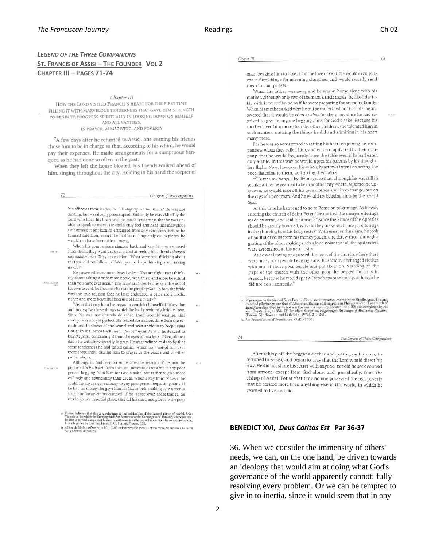## **LEGEND OF THE THREE COMPANIONS** ST. FRANCIS OF ASSISI - THE FOUNDER VOL 2 CHAPTER III - PAGES 71-74

#### Chapter III

HOW THE LORD VISITED FRANCIS'S HEART FOR THE FIRST TIME FILLING IT WITH MARVELOUS TENDERNESS THAT GAVE HIM STRENGTH TO BEGIN TO PROGRESS SPIRITUALLY IN LOOKING DOWN ON HIMSELF AND ALL VANITIES, IN PRAYER, ALMSGIVING, AND POVERTY

<sup>7</sup>A few days after he returned to Assisi, one evening his friends chose him to be in charge so that, according to his whim, he would pay their expenses. He made arrangements for a sumptuous banquet, as he had done so often in the past.

When they left the house bloated, his friends walked ahead of him, singing throughout the city. Holding in his hand the scepter of

72

The Legend of Three Companions

IC<sub>2</sub>

 $\overline{1}$ 

his office as their leader, he fell slightly behind them.<sup>8</sup> He was not singing, but was deeply preoccupied. Suddenly he was visited by the Lord who filled his heart with so much tenderness that he was unable to speak or move. He could only feel and hear this marvelous tenderness; it left him so estranged from any sensation that, as he himself said later, even if he had been completely cut to pieces, he would not have been able to move

When his companions glanced back and saw him so removed from them, they went back surprised at seeing him already changed  $1.856$  MeV. into another man. They asked him: "What were you thinking about that you did not follow us? Were you perhaps thinking about taking a wife?'

string school and

He answered in an unequivocal voice: "You are right! I was thinking about taking a wife more noble, wealthier, and more beautiful than you have ever seen." They laughed at him. For he said this not of his own accord, but because he was inspired by God. In fact, the bride was the true religion that he later embraced, a bride more noble, richer and more beautiful because of her poverty.<sup>b</sup>

<sup>8</sup>From that very hour he began to consider himself of little value and to despise those things which he had previously held in love. Since he was not entirely detached from worldly vanities, this change was not yet perfect. He retired for a short time from the tumult and business of the world and was anxious to keep Jesus Christ in his inmost self, and, after selling all he had, he desired to buy the pearl, concealing it from the eyes of mockers. Often, almost daily, he withdrew secretly to pray. He was inclined to do so by that same tenderness he had tasted earlier, which now visited him ever more frequently, driving him to prayer in the piazza and in other public places. Although he had been for some time a benefactor of the poor, he

Ps-14-1, Acts 3:4

proposed in his heart, from then on, never to deny alms to any poor person begging from him for God's sake, but rather to give more willingly and abundantly than usual. When away from home, if he could, he always gave money to any poor person requesting alms. If he had no money, he gave him his hat or belt, making sure never to send him away empty-handed. If he lacked even these things, he would go to a deserted place, take off his shirt, and give it to the poor

a. Fortini believes that this is a reference to the celebration of the second patron of Assisi, Saint Victorinus, for which the Compagnita di San Victorinus, che allows a very line is a last line of the second particle is

Chapter III

man, begging him to take it for the love of God. He would even purchase furnishings for adorning churches, and would secretly send them to poor priests.

<sup>9</sup>When his father was away and he was at home alone with his mother, although only two of them took their meals, he filled the table with loaves of bread as if he were preparing for an entire family. When his mother asked why he put so much food on the table, he answered that it would be given as alms for the poor, since he had resolved to give to anyone begging alms for God's sake. Because his mother loved him more than the other children, she tolerated him in such matters, noticing the things he did and admiring in his heart many more.

For he was so accustomed to setting his heart on joining his companions when they called him, and was so captivated by their company, that he would frequently leave the table even if he had eaten only a little. In this way he would upset his parents by his thoughtless flight. Now, however, his whole heart was intent on seeing the poor, listening to them, and giving them alms.

<sup>10</sup>He was so changed by divine grace that, although he was still in secular attire, he yearned to be in another city where, as someone unknown, he would take off his own clothes and, in exchange, put on the rags of a poor man. And he would try begging alms for the love of God.

At this time he happened to go to Rome on pilgrimage. As he was entering the church of Saint Peter,<sup>a</sup> he noticed the meager offerings made by some, and said to himself: "Since the Prince of the Apostles should be greatly honored, why do they make such meager offerings in the church where his body rests?" With great enthusiasm, he took a handful of coins from his money pouch, and threw them through a grating of the altar, making such a loud noise that all the bystanders were astonished at his generosity.

As he was leaving and passed the doors of the church, where there were many poor people begging alms, he secretly exchanged clothes with one of those poor people and put them on. Standing on the steps of the church with the other poor, he begged for alms in French, because he would speak French spontaneously, although he did not do so correctly.<sup>b</sup>

a. Pilgrimages to the tomb of Saint Peter in Rome were important events in the Middle Ages. The first recorded pilgrimage was that of Albereius, Bishop of Hierapolis in Phrygia in 216. The church of Saint Peter described

b. For Francis's use of French, see FA:ED I 194b

74

The Legend of Three Companions

After taking off the beggar's clothes and putting on his own, he returned to Assisi, and began to pray that the Lord would direct his way. He did not share his secret with anyone; nor did he seek counsel from anyone, except from God alone, and, periodically, from the bishop of Assisi. For at that time no one possessed the real poverty that he desired more than anything else in this world, in which he yearned to live and die.

### **BENEDICT XVI, Deus Caritas Est Par 36-37**

36. When we consider the immensity of others' needs, we can, on the one hand, be driven towards an ideology that would aim at doing what God's governance of the world apparently cannot: fully resolving every problem. Or we can be tempted to give in to inertia, since it would seem that in any

 $(1 - 0.5)$ 

73

b. Although this is a reference to 1C 7, L3C underscores the identity of the noble, richer bride as being such because of poverty.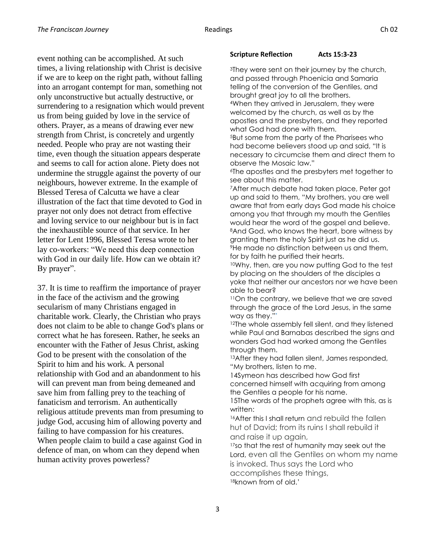event nothing can be accomplished. At such times, a living relationship with Christ is decisive if we are to keep on the right path, without falling into an arrogant contempt for man, something not only unconstructive but actually destructive, or surrendering to a resignation which would prevent us from being guided by love in the service of others. Prayer, as a means of drawing ever new strength from Christ, is concretely and urgently needed. People who pray are not wasting their time, even though the situation appears desperate and seems to call for action alone. Piety does not undermine the struggle against the poverty of our neighbours, however extreme. In the example of Blessed Teresa of Calcutta we have a clear illustration of the fact that time devoted to God in prayer not only does not detract from effective and loving service to our neighbour but is in fact the inexhaustible source of that service. In her letter for Lent 1996, Blessed Teresa wrote to her lay co-workers: "We need this deep connection with God in our daily life. How can we obtain it? By prayer".

37. It is time to reaffirm the importance of prayer in the face of the activism and the growing secularism of many Christians engaged in charitable work. Clearly, the Christian who prays does not claim to be able to change God's plans or correct what he has foreseen. Rather, he seeks an encounter with the Father of Jesus Christ, asking God to be present with the consolation of the Spirit to him and his work. A personal relationship with God and an abandonment to his will can prevent man from being demeaned and save him from falling prey to the teaching of fanaticism and terrorism. An authentically religious attitude prevents man from presuming to judge God, accusing him of allowing poverty and failing to have compassion for his creatures. When people claim to build a case against God in defence of man, on whom can they depend when human activity proves powerless?

# **Scripture Reflection Acts 15:3-23**

<sup>3</sup>They were sent on their journey by the church, and passed through Phoenicia and Samaria telling of the conversion of the Gentiles, and brought great joy to all the brothers. <sup>4</sup>When they arrived in Jerusalem, they were welcomed by the church, as well as by the apostles and the presbyters, and they reported what God had done with them.

<sup>5</sup>But some from the party of the Pharisees who had become believers stood up and said, "It is necessary to circumcise them and direct them to observe the Mosaic law."

<sup>6</sup>The apostles and the presbyters met together to see about this matter.

<sup>7</sup>After much debate had taken place, Peter got up and said to them, "My brothers, you are well aware that from early days God made his choice among you that through my mouth the Gentiles would hear the word of the gospel and believe. <sup>8</sup>And God, who knows the heart, bore witness by granting them the holy Spirit just as he did us. <sup>9</sup>He made no distinction between us and them, for by faith he purified their hearts.

<sup>10</sup>Why, then, are you now putting God to the test by placing on the shoulders of the disciples a yoke that neither our ancestors nor we have been able to bear?

<sup>11</sup>On the contrary, we believe that we are saved through the grace of the Lord Jesus, in the same way as they.["](https://bible.usccb.org/bible/acts/15#52015011-1) \*

<sup>12</sup>The whole assembly fell silent, and they listened while Paul and Barnabas described the signs and wonders God had worked among the Gentiles through them.

<sup>13</sup>After they had fallen silent, James responded, "My brothers, listen to me.

14Symeon has described how God first concerned himself with acquiring from among the Gentiles a people for his name.

15The words of the prophets agree with this, as is written:

<sup>16</sup>After this I shall return and rebuild the fallen hut of David; from its ruins I shall rebuild it and raise it up again,

17so that the rest of humanity may seek out the Lord, even all the Gentiles on whom my name is invoked. Thus says the Lord who accomplishes these things, 18known from of old.'